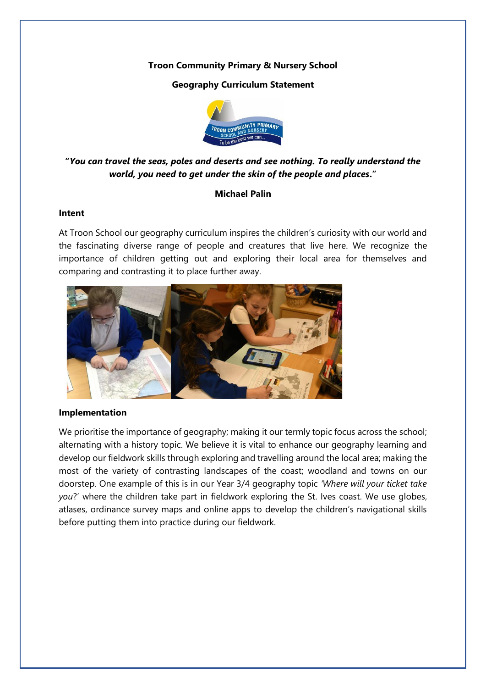# **Troon Community Primary & Nursery School**

# **Geography Curriculum Statement**



# **"***You can travel the seas, poles and deserts and see nothing. To really understand the world, you need to get under the skin of the people and places***."**

# **Michael Palin**

## **Intent**

At Troon School our geography curriculum inspires the children's curiosity with our world and the fascinating diverse range of people and creatures that live here. We recognize the importance of children getting out and exploring their local area for themselves and comparing and contrasting it to place further away.



## **Implementation**

We prioritise the importance of geography; making it our termly topic focus across the school; alternating with a history topic. We believe it is vital to enhance our geography learning and develop our fieldwork skills through exploring and travelling around the local area; making the most of the variety of contrasting landscapes of the coast; woodland and towns on our doorstep. One example of this is in our Year 3/4 geography topic *'Where will your ticket take you*?' where the children take part in fieldwork exploring the St. Ives coast. We use globes, atlases, ordinance survey maps and online apps to develop the children's navigational skills before putting them into practice during our fieldwork.